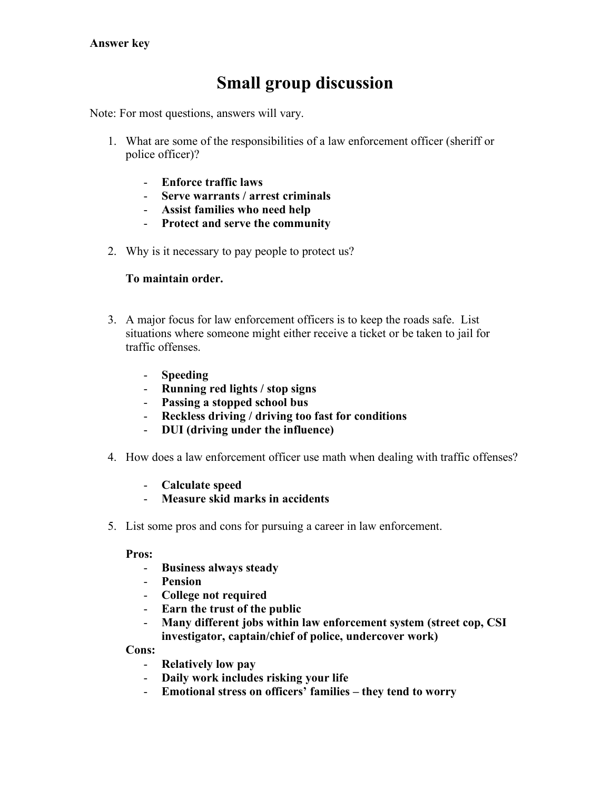# **Small group discussion**

Note: For most questions, answers will vary.

- 1. What are some of the responsibilities of a law enforcement officer (sheriff or police officer)?
	- **Enforce traffic laws**
	- **Serve warrants / arrest criminals**
	- **Assist families who need help**
	- **Protect and serve the community**
- 2. Why is it necessary to pay people to protect us?

## **To maintain order.**

- 3. A major focus for law enforcement officers is to keep the roads safe. List situations where someone might either receive a ticket or be taken to jail for traffic offenses.
	- **Speeding**
	- **Running red lights / stop signs**
	- **Passing a stopped school bus**
	- **Reckless driving / driving too fast for conditions**
	- **DUI (driving under the influence)**
- 4. How does a law enforcement officer use math when dealing with traffic offenses?
	- **Calculate speed**
	- **Measure skid marks in accidents**
- 5. List some pros and cons for pursuing a career in law enforcement.

#### **Pros:**

- **Business always steady**
- **Pension**
- **College not required**
- **Earn the trust of the public**
- **Many different jobs within law enforcement system (street cop, CSI investigator, captain/chief of police, undercover work)**

#### **Cons:**

- **Relatively low pay**
- **Daily work includes risking your life**
- **Emotional stress on officers' families – they tend to worry**